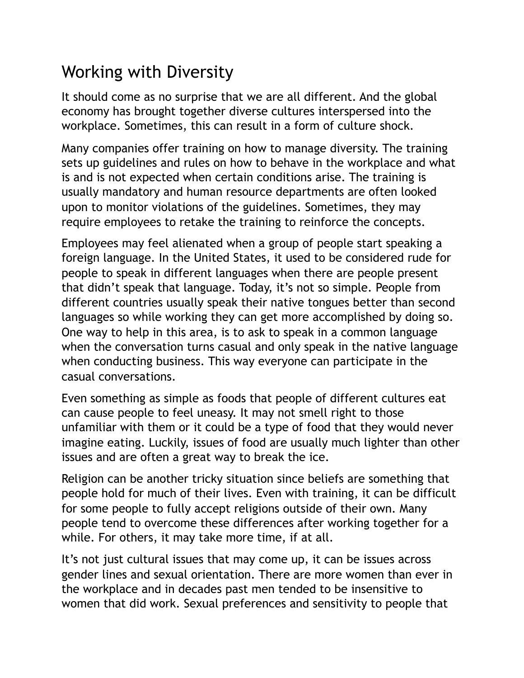## Working with Diversity

It should come as no surprise that we are all different. And the global economy has brought together diverse cultures interspersed into the workplace. Sometimes, this can result in a form of culture shock.

Many companies offer training on how to manage diversity. The training sets up guidelines and rules on how to behave in the workplace and what is and is not expected when certain conditions arise. The training is usually mandatory and human resource departments are often looked upon to monitor violations of the guidelines. Sometimes, they may require employees to retake the training to reinforce the concepts.

Employees may feel alienated when a group of people start speaking a foreign language. In the United States, it used to be considered rude for people to speak in different languages when there are people present that didn't speak that language. Today, it's not so simple. People from different countries usually speak their native tongues better than second languages so while working they can get more accomplished by doing so. One way to help in this area, is to ask to speak in a common language when the conversation turns casual and only speak in the native language when conducting business. This way everyone can participate in the casual conversations.

Even something as simple as foods that people of different cultures eat can cause people to feel uneasy. It may not smell right to those unfamiliar with them or it could be a type of food that they would never imagine eating. Luckily, issues of food are usually much lighter than other issues and are often a great way to break the ice.

Religion can be another tricky situation since beliefs are something that people hold for much of their lives. Even with training, it can be difficult for some people to fully accept religions outside of their own. Many people tend to overcome these differences after working together for a while. For others, it may take more time, if at all.

It's not just cultural issues that may come up, it can be issues across gender lines and sexual orientation. There are more women than ever in the workplace and in decades past men tended to be insensitive to women that did work. Sexual preferences and sensitivity to people that